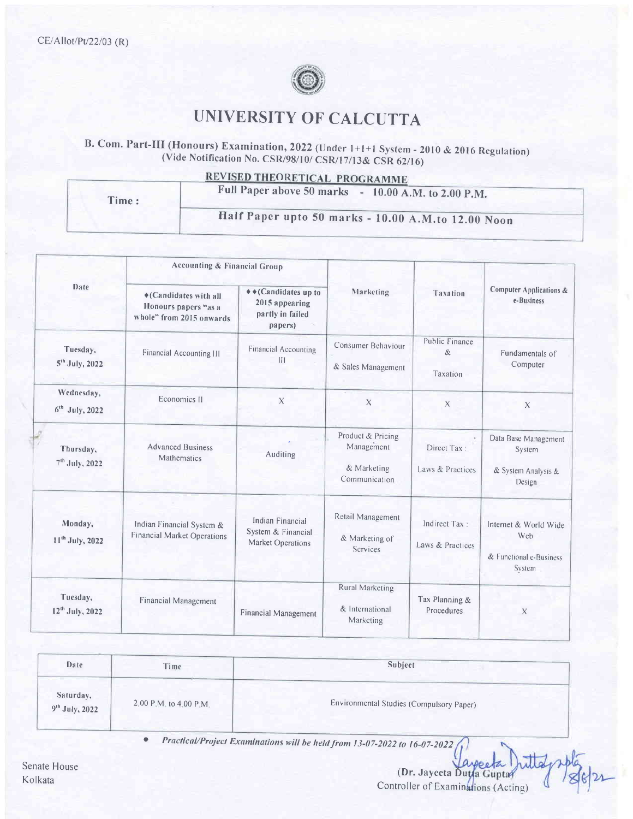

## **UNIVERSITY OF CALCUTTA**

B. Com. Part-III (Honours) Examination, 2022 (Under 1+1+1 System - 2010 & 2016 Regulation) (Vide Notification No. CSR/98/10/ CSR/17/13& CSR 62/16)

REVISED THEORETICAL PROGRAMME

| Time: | Full Paper above 50 marks - 10.00 A.M. to 2.00 P.M. |  |  |  |  |
|-------|-----------------------------------------------------|--|--|--|--|
|       | Half Paper upto 50 marks - 10.00 A.M.to 12.00 Noon  |  |  |  |  |

|                                         | <b>Accounting &amp; Financial Group</b>                                    |                                                                      |                                                                 |                                        |                                                                   |
|-----------------------------------------|----------------------------------------------------------------------------|----------------------------------------------------------------------|-----------------------------------------------------------------|----------------------------------------|-------------------------------------------------------------------|
| Date                                    | ♦ (Candidates with all<br>Honours papers "as a<br>whole" from 2015 onwards | ◆◆(Candidates up to<br>2015 appearing<br>partly in failed<br>papers) | Marketing                                                       | Taxation                               | <b>Computer Applications &amp;</b><br>e-Business                  |
| Tuesday,<br>5 <sup>th</sup> July, 2022  | Financial Accounting III                                                   | <b>Financial Accounting</b><br>$\mathbf{H}$                          | Consumer Behaviour<br>& Sales Management                        | <b>Public Finance</b><br>&<br>Taxation | Fundamentals of<br>Computer                                       |
| Wednesday,<br>$6th$ July, 2022          | Economics II                                                               | $\boldsymbol{\mathsf{X}}$                                            | $\mathsf{X}$                                                    | X                                      | X                                                                 |
| Thursday,<br>7 <sup>th</sup> July, 2022 | <b>Advanced Business</b><br>Mathematics                                    | Auditing                                                             | Product & Pricing<br>Management<br>& Marketing<br>Communication | Direct Tax:<br>Laws & Practices        | Data Base Management<br>System<br>& System Analysis &<br>Design   |
| Monday,<br>11 <sup>th</sup> July, 2022  | Indian Financial System &<br><b>Financial Market Operations</b>            | Indian Financial<br>System & Financial<br>Market Operations          | Retail Management<br>& Marketing of<br>Services                 | Indirect Tax:<br>Laws & Practices      | Internet & World Wide<br>Web<br>& Functional e-Business<br>System |
| Tuesday,<br>12 <sup>th</sup> July, 2022 | Financial Management                                                       | Financial Management                                                 | <b>Rural Marketing</b><br>& International<br>Marketing          | Tax Planning &<br>Procedures           | X                                                                 |

| Date                                    | Time                   | Subject                                  |  |  |
|-----------------------------------------|------------------------|------------------------------------------|--|--|
| Saturday,<br>9 <sup>th</sup> July, 2022 | 2.00 P.M. to 4.00 P.M. | Environmental Studies (Compulsory Paper) |  |  |

Practical/Project Examinations will be held from 13-07-2022 to 16-07-2022

(Dr. Jayceta Duya Guptar) Controller of Examinations (Acting)